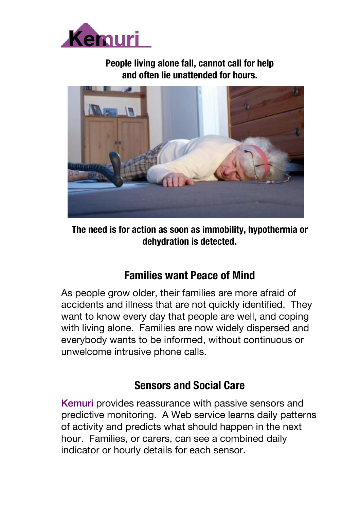

#### **People living alone fall, cannot call for help and often lie unattended for hours.**



**The need is for action as soon as immobility, hypothermia or dehydration is detected**.

#### **Families want Peace of Mind**

As people grow older, their families are more afraid of accidents and illness that are not quickly identified. They want to know every day that people are well, and coping with living alone. Families are now widely dispersed and everybody wants to be informed, without continuous or unwelcome intrusive phone calls.

#### **Sensors and Social Care**

Kemuri provides reassurance with passive sensors and predictive monitoring. A Web service learns daily patterns of activity and predicts what should happen in the next hour. Families, or carers, can see a combined daily indicator or hourly details for each sensor.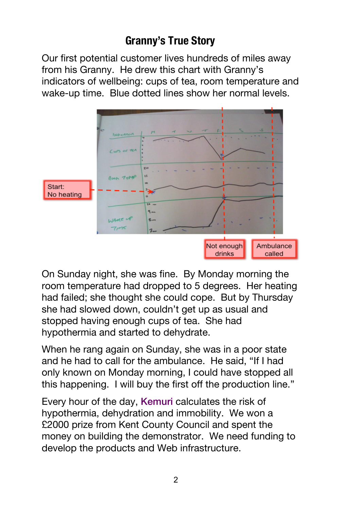## **Granny's True Story**

Our first potential customer lives hundreds of miles away from his Granny. He drew this chart with Granny's indicators of wellbeing: cups of tea, room temperature and wake-up time. Blue dotted lines show her normal levels.



On Sunday night, she was fine. By Monday morning the room temperature had dropped to 5 degrees. Her heating had failed; she thought she could cope. But by Thursday she had slowed down, couldn't get up as usual and stopped having enough cups of tea. She had hypothermia and started to dehydrate.

When he rang again on Sunday, she was in a poor state and he had to call for the ambulance. He said, "If I had only known on Monday morning, I could have stopped all this happening. I will buy the first off the production line."

Every hour of the day, Kemuri calculates the risk of hypothermia, dehydration and immobility. We won a £2000 prize from Kent County Council and spent the money on building the demonstrator. We need funding to develop the products and Web infrastructure.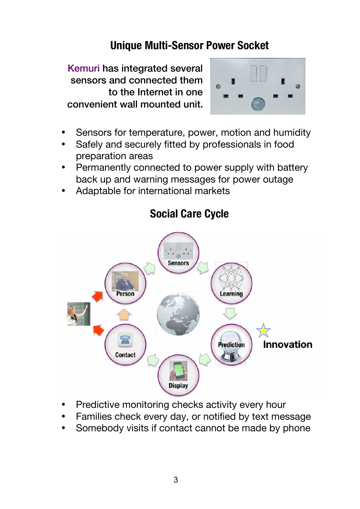### **Unique Multi-Sensor Power Socket**

Kemuri has integrated several sensors and connected them to the Internet in one convenient wall mounted unit**.**



- Sensors for temperature, power, motion and humidity
- Safely and securely fitted by professionals in food preparation areas
- Permanently connected to power supply with battery back up and warning messages for power outage
- Adaptable for international markets



#### **Social Care Cycle**

- Predictive monitoring checks activity every hour
- Families check every day, or notified by text message
- Somebody visits if contact cannot be made by phone